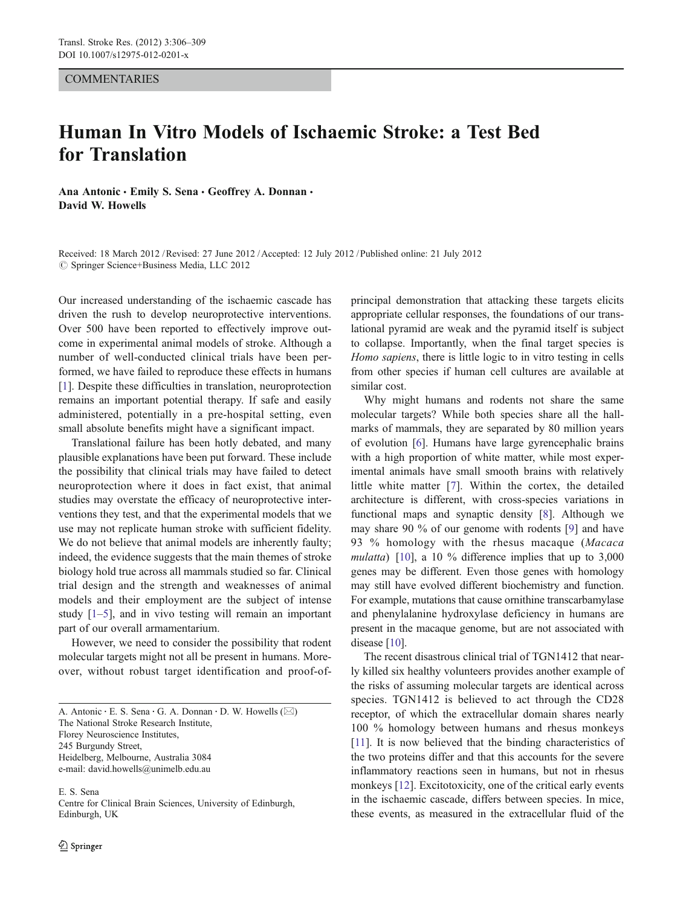## **COMMENTARIES**

## Human In Vitro Models of Ischaemic Stroke: a Test Bed for Translation

Ana Antonic · Emily S. Sena · Geoffrey A. Donnan · David W. Howells

Received: 18 March 2012 /Revised: 27 June 2012 /Accepted: 12 July 2012 / Published online: 21 July 2012 © Springer Science+Business Media, LLC 2012

Our increased understanding of the ischaemic cascade has driven the rush to develop neuroprotective interventions. Over 500 have been reported to effectively improve outcome in experimental animal models of stroke. Although a number of well-conducted clinical trials have been performed, we have failed to reproduce these effects in humans [\[1](#page-2-0)]. Despite these difficulties in translation, neuroprotection remains an important potential therapy. If safe and easily administered, potentially in a pre-hospital setting, even small absolute benefits might have a significant impact.

Translational failure has been hotly debated, and many plausible explanations have been put forward. These include the possibility that clinical trials may have failed to detect neuroprotection where it does in fact exist, that animal studies may overstate the efficacy of neuroprotective interventions they test, and that the experimental models that we use may not replicate human stroke with sufficient fidelity. We do not believe that animal models are inherently faulty; indeed, the evidence suggests that the main themes of stroke biology hold true across all mammals studied so far. Clinical trial design and the strength and weaknesses of animal models and their employment are the subject of intense study [[1](#page-2-0)–[5\]](#page-3-0), and in vivo testing will remain an important part of our overall armamentarium.

However, we need to consider the possibility that rodent molecular targets might not all be present in humans. Moreover, without robust target identification and proof-of-

Florey Neuroscience Institutes,

245 Burgundy Street,

Heidelberg, Melbourne, Australia 3084 e-mail: david.howells@unimelb.edu.au

E. S. Sena

Centre for Clinical Brain Sciences, University of Edinburgh, Edinburgh, UK

principal demonstration that attacking these targets elicits appropriate cellular responses, the foundations of our translational pyramid are weak and the pyramid itself is subject to collapse. Importantly, when the final target species is Homo sapiens, there is little logic to in vitro testing in cells from other species if human cell cultures are available at similar cost.

Why might humans and rodents not share the same molecular targets? While both species share all the hallmarks of mammals, they are separated by 80 million years of evolution [[6\]](#page-3-0). Humans have large gyrencephalic brains with a high proportion of white matter, while most experimental animals have small smooth brains with relatively little white matter [[7](#page-3-0)]. Within the cortex, the detailed architecture is different, with cross-species variations in functional maps and synaptic density [[8\]](#page-3-0). Although we may share 90 % of our genome with rodents [\[9](#page-3-0)] and have 93 % homology with the rhesus macaque (Macaca mulatta) [\[10](#page-3-0)], a 10  $\%$  difference implies that up to 3,000 genes may be different. Even those genes with homology may still have evolved different biochemistry and function. For example, mutations that cause ornithine transcarbamylase and phenylalanine hydroxylase deficiency in humans are present in the macaque genome, but are not associated with disease [[10\]](#page-3-0).

The recent disastrous clinical trial of TGN1412 that nearly killed six healthy volunteers provides another example of the risks of assuming molecular targets are identical across species. TGN1412 is believed to act through the CD28 receptor, of which the extracellular domain shares nearly 100 % homology between humans and rhesus monkeys [\[11](#page-3-0)]. It is now believed that the binding characteristics of the two proteins differ and that this accounts for the severe inflammatory reactions seen in humans, but not in rhesus monkeys [[12\]](#page-3-0). Excitotoxicity, one of the critical early events in the ischaemic cascade, differs between species. In mice, these events, as measured in the extracellular fluid of the

A. Antonic  $\cdot$  E. S. Sena  $\cdot$  G. A. Donnan  $\cdot$  D. W. Howells ( $\boxtimes$ )

The National Stroke Research Institute,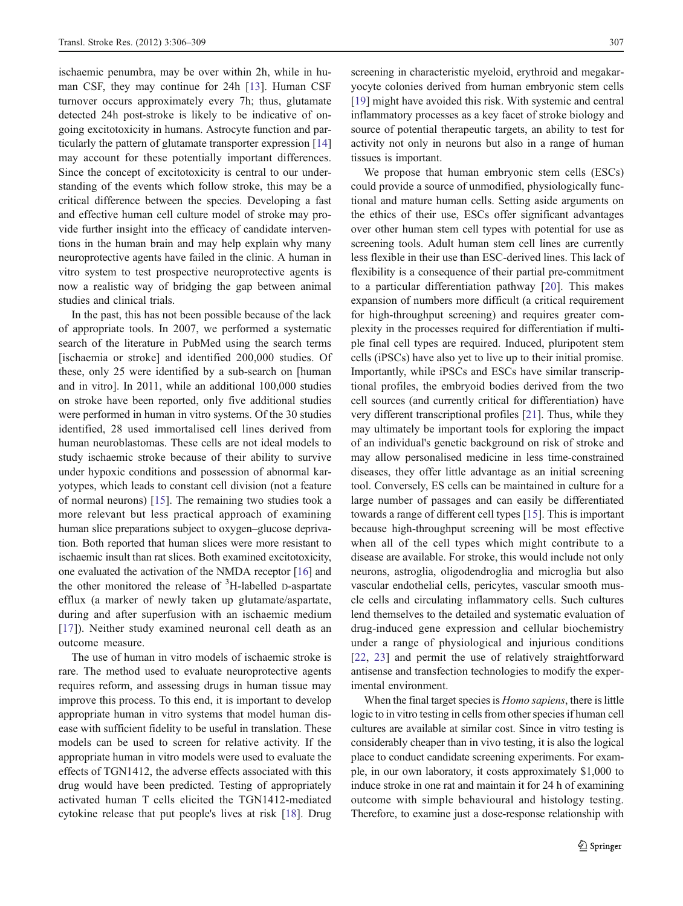ischaemic penumbra, may be over within 2h, while in human CSF, they may continue for 24h [\[13](#page-3-0)]. Human CSF turnover occurs approximately every 7h; thus, glutamate detected 24h post-stroke is likely to be indicative of ongoing excitotoxicity in humans. Astrocyte function and particularly the pattern of glutamate transporter expression [[14\]](#page-3-0) may account for these potentially important differences. Since the concept of excitotoxicity is central to our understanding of the events which follow stroke, this may be a critical difference between the species. Developing a fast and effective human cell culture model of stroke may provide further insight into the efficacy of candidate interventions in the human brain and may help explain why many neuroprotective agents have failed in the clinic. A human in vitro system to test prospective neuroprotective agents is now a realistic way of bridging the gap between animal studies and clinical trials.

In the past, this has not been possible because of the lack of appropriate tools. In 2007, we performed a systematic search of the literature in PubMed using the search terms [ischaemia or stroke] and identified 200,000 studies. Of these, only 25 were identified by a sub-search on [human and in vitro]. In 2011, while an additional 100,000 studies on stroke have been reported, only five additional studies were performed in human in vitro systems. Of the 30 studies identified, 28 used immortalised cell lines derived from human neuroblastomas. These cells are not ideal models to study ischaemic stroke because of their ability to survive under hypoxic conditions and possession of abnormal karyotypes, which leads to constant cell division (not a feature of normal neurons) [[15\]](#page-3-0). The remaining two studies took a more relevant but less practical approach of examining human slice preparations subject to oxygen–glucose deprivation. Both reported that human slices were more resistant to ischaemic insult than rat slices. Both examined excitotoxicity, one evaluated the activation of the NMDA receptor [\[16\]](#page-3-0) and the other monitored the release of <sup>3</sup>H-labelled D-aspartate efflux (a marker of newly taken up glutamate/aspartate, during and after superfusion with an ischaemic medium [\[17\]](#page-3-0)). Neither study examined neuronal cell death as an outcome measure.

The use of human in vitro models of ischaemic stroke is rare. The method used to evaluate neuroprotective agents requires reform, and assessing drugs in human tissue may improve this process. To this end, it is important to develop appropriate human in vitro systems that model human disease with sufficient fidelity to be useful in translation. These models can be used to screen for relative activity. If the appropriate human in vitro models were used to evaluate the effects of TGN1412, the adverse effects associated with this drug would have been predicted. Testing of appropriately activated human T cells elicited the TGN1412-mediated cytokine release that put people's lives at risk [[18\]](#page-3-0). Drug screening in characteristic myeloid, erythroid and megakaryocyte colonies derived from human embryonic stem cells [\[19](#page-3-0)] might have avoided this risk. With systemic and central inflammatory processes as a key facet of stroke biology and source of potential therapeutic targets, an ability to test for activity not only in neurons but also in a range of human tissues is important.

We propose that human embryonic stem cells (ESCs) could provide a source of unmodified, physiologically functional and mature human cells. Setting aside arguments on the ethics of their use, ESCs offer significant advantages over other human stem cell types with potential for use as screening tools. Adult human stem cell lines are currently less flexible in their use than ESC-derived lines. This lack of flexibility is a consequence of their partial pre-commitment to a particular differentiation pathway [\[20\]](#page-3-0). This makes expansion of numbers more difficult (a critical requirement for high-throughput screening) and requires greater complexity in the processes required for differentiation if multiple final cell types are required. Induced, pluripotent stem cells (iPSCs) have also yet to live up to their initial promise. Importantly, while iPSCs and ESCs have similar transcriptional profiles, the embryoid bodies derived from the two cell sources (and currently critical for differentiation) have very different transcriptional profiles [[21\]](#page-3-0). Thus, while they may ultimately be important tools for exploring the impact of an individual's genetic background on risk of stroke and may allow personalised medicine in less time-constrained diseases, they offer little advantage as an initial screening tool. Conversely, ES cells can be maintained in culture for a large number of passages and can easily be differentiated towards a range of different cell types [\[15](#page-3-0)]. This is important because high-throughput screening will be most effective when all of the cell types which might contribute to a disease are available. For stroke, this would include not only neurons, astroglia, oligodendroglia and microglia but also vascular endothelial cells, pericytes, vascular smooth muscle cells and circulating inflammatory cells. Such cultures lend themselves to the detailed and systematic evaluation of drug-induced gene expression and cellular biochemistry under a range of physiological and injurious conditions [\[22](#page-3-0), [23\]](#page-3-0) and permit the use of relatively straightforward antisense and transfection technologies to modify the experimental environment.

When the final target species is *Homo sapiens*, there is little logic to in vitro testing in cells from other species if human cell cultures are available at similar cost. Since in vitro testing is considerably cheaper than in vivo testing, it is also the logical place to conduct candidate screening experiments. For example, in our own laboratory, it costs approximately \$1,000 to induce stroke in one rat and maintain it for 24 h of examining outcome with simple behavioural and histology testing. Therefore, to examine just a dose-response relationship with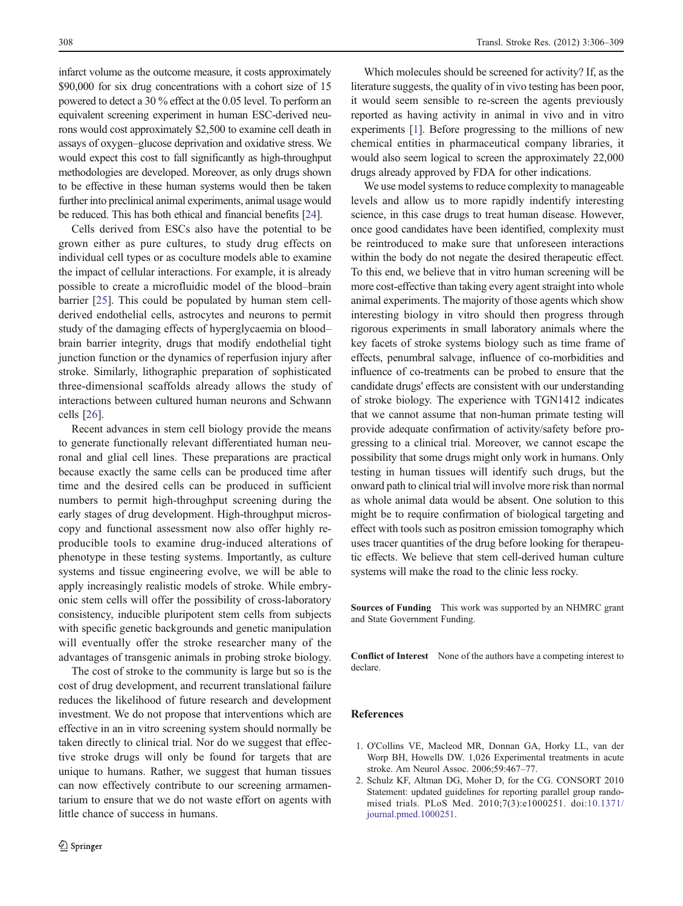<span id="page-2-0"></span>infarct volume as the outcome measure, it costs approximately \$90,000 for six drug concentrations with a cohort size of 15 powered to detect a 30 % effect at the 0.05 level. To perform an equivalent screening experiment in human ESC-derived neurons would cost approximately \$2,500 to examine cell death in assays of oxygen–glucose deprivation and oxidative stress. We would expect this cost to fall significantly as high-throughput methodologies are developed. Moreover, as only drugs shown to be effective in these human systems would then be taken further into preclinical animal experiments, animal usage would be reduced. This has both ethical and financial benefits [\[24](#page-3-0)].

Cells derived from ESCs also have the potential to be grown either as pure cultures, to study drug effects on individual cell types or as coculture models able to examine the impact of cellular interactions. For example, it is already possible to create a microfluidic model of the blood–brain barrier [[25\]](#page-3-0). This could be populated by human stem cellderived endothelial cells, astrocytes and neurons to permit study of the damaging effects of hyperglycaemia on blood– brain barrier integrity, drugs that modify endothelial tight junction function or the dynamics of reperfusion injury after stroke. Similarly, lithographic preparation of sophisticated three-dimensional scaffolds already allows the study of interactions between cultured human neurons and Schwann cells [\[26](#page-3-0)].

Recent advances in stem cell biology provide the means to generate functionally relevant differentiated human neuronal and glial cell lines. These preparations are practical because exactly the same cells can be produced time after time and the desired cells can be produced in sufficient numbers to permit high-throughput screening during the early stages of drug development. High-throughput microscopy and functional assessment now also offer highly reproducible tools to examine drug-induced alterations of phenotype in these testing systems. Importantly, as culture systems and tissue engineering evolve, we will be able to apply increasingly realistic models of stroke. While embryonic stem cells will offer the possibility of cross-laboratory consistency, inducible pluripotent stem cells from subjects with specific genetic backgrounds and genetic manipulation will eventually offer the stroke researcher many of the advantages of transgenic animals in probing stroke biology.

The cost of stroke to the community is large but so is the cost of drug development, and recurrent translational failure reduces the likelihood of future research and development investment. We do not propose that interventions which are effective in an in vitro screening system should normally be taken directly to clinical trial. Nor do we suggest that effective stroke drugs will only be found for targets that are unique to humans. Rather, we suggest that human tissues can now effectively contribute to our screening armamentarium to ensure that we do not waste effort on agents with little chance of success in humans.

Which molecules should be screened for activity? If, as the literature suggests, the quality of in vivo testing has been poor, it would seem sensible to re-screen the agents previously reported as having activity in animal in vivo and in vitro experiments [1]. Before progressing to the millions of new chemical entities in pharmaceutical company libraries, it would also seem logical to screen the approximately 22,000 drugs already approved by FDA for other indications.

We use model systems to reduce complexity to manageable levels and allow us to more rapidly indentify interesting science, in this case drugs to treat human disease. However, once good candidates have been identified, complexity must be reintroduced to make sure that unforeseen interactions within the body do not negate the desired therapeutic effect. To this end, we believe that in vitro human screening will be more cost-effective than taking every agent straight into whole animal experiments. The majority of those agents which show interesting biology in vitro should then progress through rigorous experiments in small laboratory animals where the key facets of stroke systems biology such as time frame of effects, penumbral salvage, influence of co-morbidities and influence of co-treatments can be probed to ensure that the candidate drugs' effects are consistent with our understanding of stroke biology. The experience with TGN1412 indicates that we cannot assume that non-human primate testing will provide adequate confirmation of activity/safety before progressing to a clinical trial. Moreover, we cannot escape the possibility that some drugs might only work in humans. Only testing in human tissues will identify such drugs, but the onward path to clinical trial will involve more risk than normal as whole animal data would be absent. One solution to this might be to require confirmation of biological targeting and effect with tools such as positron emission tomography which uses tracer quantities of the drug before looking for therapeutic effects. We believe that stem cell-derived human culture systems will make the road to the clinic less rocky.

Sources of Funding This work was supported by an NHMRC grant and State Government Funding.

Conflict of Interest None of the authors have a competing interest to declare.

## References

- 1. O'Collins VE, Macleod MR, Donnan GA, Horky LL, van der Worp BH, Howells DW. 1,026 Experimental treatments in acute stroke. Am Neurol Assoc. 2006;59:467–77.
- 2. Schulz KF, Altman DG, Moher D, for the CG. CONSORT 2010 Statement: updated guidelines for reporting parallel group randomised trials. PLoS Med. 2010;7(3):e1000251. doi[:10.1371/](http://dx.doi.org/10.1371/journal.pmed.1000251) [journal.pmed.1000251](http://dx.doi.org/10.1371/journal.pmed.1000251).